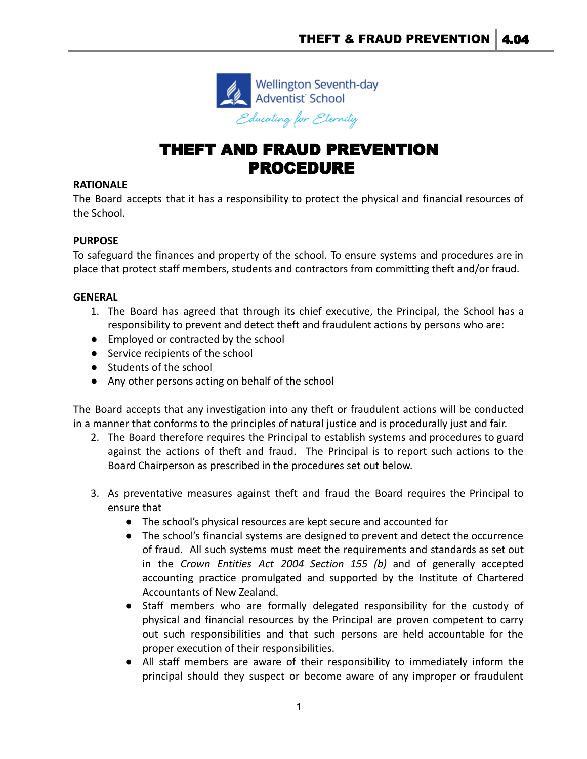

# THEFT AND FRAUD PREVENTION PROCEDURE

### **RATIONALE**

The Board accepts that it has a responsibility to protect the physical and financial resources of the School.

### **PURPOSE**

To safeguard the finances and property of the school. To ensure systems and procedures are in place that protect staff members, students and contractors from committing theft and/or fraud.

### **GENERAL**

- 1. The Board has agreed that through its chief executive, the Principal, the School has a responsibility to prevent and detect theft and fraudulent actions by persons who are:
- Employed or contracted by the school
- Service recipients of the school
- Students of the school
- Any other persons acting on behalf of the school

The Board accepts that any investigation into any theft or fraudulent actions will be conducted in a manner that conforms to the principles of natural justice and is procedurally just and fair.

- 2. The Board therefore requires the Principal to establish systems and procedures to guard against the actions of theft and fraud. The Principal is to report such actions to the Board Chairperson as prescribed in the procedures set out below.
- 3. As preventative measures against theft and fraud the Board requires the Principal to ensure that
	- The school's physical resources are kept secure and accounted for
	- The school's financial systems are designed to prevent and detect the occurrence of fraud. All such systems must meet the requirements and standards as set out in the *Crown Entities Act 2004 Section 155 (b)* and of generally accepted accounting practice promulgated and supported by the Institute of Chartered Accountants of New Zealand.
	- Staff members who are formally delegated responsibility for the custody of physical and financial resources by the Principal are proven competent to carry out such responsibilities and that such persons are held accountable for the proper execution of their responsibilities.
	- All staff members are aware of their responsibility to immediately inform the principal should they suspect or become aware of any improper or fraudulent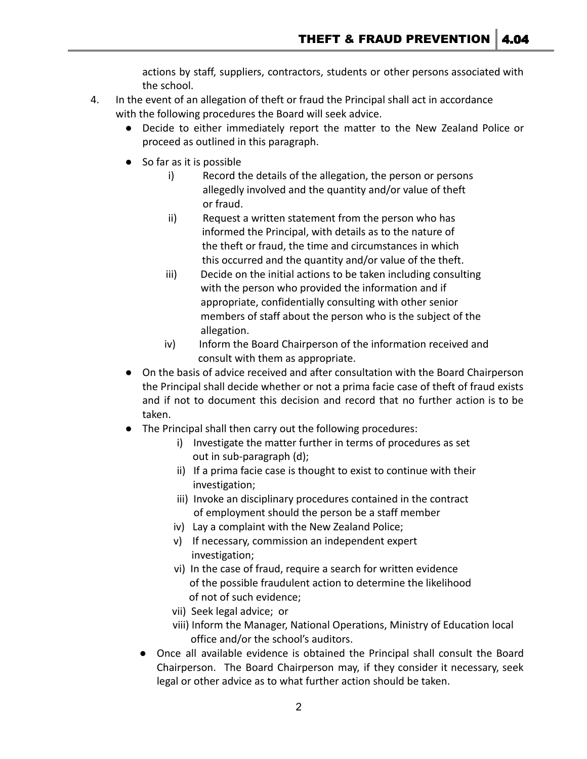actions by staff, suppliers, contractors, students or other persons associated with the school.

- 4. In the event of an allegation of theft or fraud the Principal shall act in accordance with the following procedures the Board will seek advice.
	- Decide to either immediately report the matter to the New Zealand Police or proceed as outlined in this paragraph.
	- So far as it is possible
		- i) Record the details of the allegation, the person or persons allegedly involved and the quantity and/or value of theft or fraud.
		- ii) Request a written statement from the person who has informed the Principal, with details as to the nature of the theft or fraud, the time and circumstances in which this occurred and the quantity and/or value of the theft.
		- iii) Decide on the initial actions to be taken including consulting with the person who provided the information and if appropriate, confidentially consulting with other senior members of staff about the person who is the subject of the allegation.
		- iv) Inform the Board Chairperson of the information received and consult with them as appropriate.
	- On the basis of advice received and after consultation with the Board Chairperson the Principal shall decide whether or not a prima facie case of theft of fraud exists and if not to document this decision and record that no further action is to be taken.
	- The Principal shall then carry out the following procedures:
		- i) Investigate the matter further in terms of procedures as set out in sub-paragraph (d);
		- ii) If a prima facie case is thought to exist to continue with their investigation;
		- iii) Invoke an disciplinary procedures contained in the contract of employment should the person be a staff member
		- iv) Lay a complaint with the New Zealand Police;
		- v) If necessary, commission an independent expert investigation;
		- vi) In the case of fraud, require a search for written evidence of the possible fraudulent action to determine the likelihood of not of such evidence;
		- vii) Seek legal advice; or
		- viii) Inform the Manager, National Operations, Ministry of Education local office and/or the school's auditors.
		- Once all available evidence is obtained the Principal shall consult the Board Chairperson. The Board Chairperson may, if they consider it necessary, seek legal or other advice as to what further action should be taken.